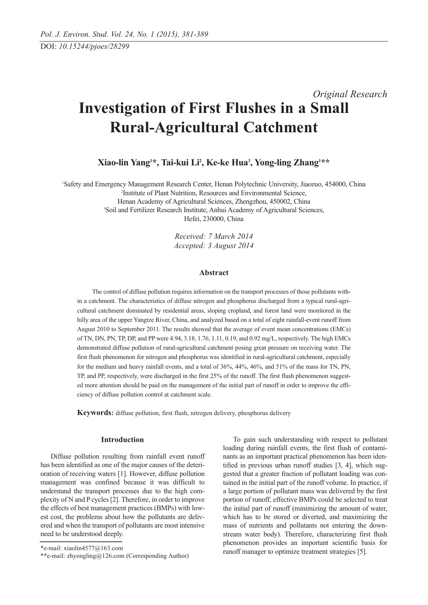# *Original Research* **Investigation of First Flushes in a Small Rural-Agricultural Catchment**

**Xiao-lin Yang1 \*, Tai-kui Li2 , Ke-ke Hua3 , Yong-ling Zhang1 \*\***

1 Safety and Emergency Management Research Center, Henan Polytechnic University, Jiaozuo, 454000, China 2 Institute of Plant Nutrition, Resources and Environmental Science, Henan Academy of Agricultural Sciences, Zhengzhou, 450002, China 3 Soil and Fertilizer Research Institute, Anhui Academy of Agricultural Sciences, Hefei, 230000, China

> *Received: 7 March 2014 Accepted: 3 August 2014*

# **Abstract**

The control of diffuse pollution requires information on the transport processes of those pollutants within a catchment. The characteristics of diffuse nitrogen and phosphorus discharged from a typical rural-agricultural catchment dominated by residential areas, sloping cropland, and forest land were monitored in the hilly area of the upper Yangtze River, China, and analyzed based on a total of eight rainfall-event runoff from August 2010 to September 2011. The results showed that the average of event mean concentrations (EMCs) of TN, DN, PN, TP, DP, and PP were 4.94, 3.18, 1.76, 1.11, 0.19, and 0.92 mg/L, respectively. The high EMCs demonstrated diffuse pollution of rural-agricultural catchment posing great pressure on receiving water. The first flush phenomenon for nitrogen and phosphorus was identified in rural-agricultural catchment, especially for the medium and heavy rainfall events, and a total of 36%, 44%, 46%, and 51% of the mass for TN, PN, TP, and PP, respectively, were discharged in the first 25% of the runoff. The first flush phenomenon suggested more attention should be paid on the management of the initial part of runoff in order to improve the efficiency of diffuse pollution control at catchment scale.

**Keywords:** diffuse pollution, first flush, nitrogen delivery, phosphorus delivery

# **Introduction**

Diffuse pollution resulting from rainfall event runoff has been identified as one of the major causes of the deterioration of receiving waters [1]. However, diffuse pollution management was confined because it was difficult to understand the transport processes due to the high complexity of N and P cycles [2]. Therefore, in order to improve the effects of best management practices (BMPs) with lowest cost, the problems about how the pollutants are delivered and when the transport of pollutants are most intensive need to be understood deeply.

\*e-mail: xiaolin4577@163.com

To gain such understanding with respect to pollutant loading during rainfall events, the first flush of contaminants as an important practical phenomenon has been identified in previous urban runoff studies [3, 4], which suggested that a greater fraction of pollutant loading was contained in the initial part of the runoff volume. In practice, if a large portion of pollutant mass was delivered by the first portion of runoff, effective BMPs could be selected to treat the initial part of runoff (minimizing the amount of water, which has to be stored or diverted, and maximizing the mass of nutrients and pollutants not entering the downstream water body). Therefore, characterizing first flush phenomenon provides an important scientific basis for runoff manager to optimize treatment strategies [5].

<sup>\*\*</sup>e-mail: zhyongling@126.com (Corresponding Author)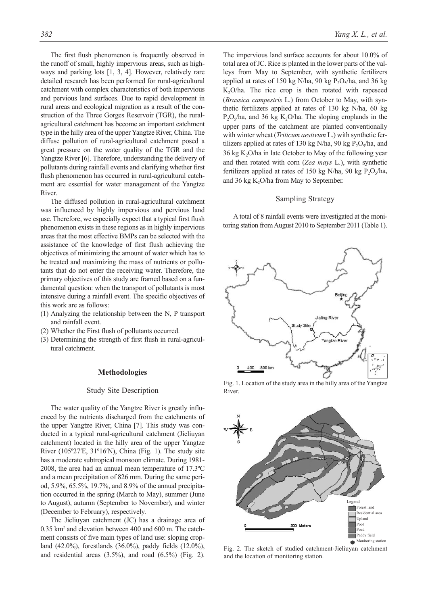The first flush phenomenon is frequently observed in the runoff of small, highly impervious areas, such as highways and parking lots [1, 3, 4]. However, relatively rare detailed research has been performed for rural-agricultural catchment with complex characteristics of both impervious and pervious land surfaces. Due to rapid development in rural areas and ecological migration as a result of the construction of the Three Gorges Reservoir (TGR), the ruralagricultural catchment has become an important catchment type in the hilly area of the upper Yangtze River, China. The diffuse pollution of rural-agricultural catchment posed a great pressure on the water quality of the TGR and the Yangtze River [6]. Therefore, understanding the delivery of pollutants during rainfall events and clarifying whether first flush phenomenon has occurred in rural-agricultural catchment are essential for water management of the Yangtze River.

The diffused pollution in rural-agricultural catchment was influenced by highly impervious and pervious land use. Therefore, we especially expect that a typical first flush phenomenon exists in these regions as in highly impervious areas that the most effective BMPs can be selected with the assistance of the knowledge of first flush achieving the objectives of minimizing the amount of water which has to be treated and maximizing the mass of nutrients or pollutants that do not enter the receiving water. Therefore, the primary objectives of this study are framed based on a fundamental question: when the transport of pollutants is most intensive during a rainfall event. The specific objectives of this work are as follows:

- (1) Analyzing the relationship between the N, P transport and rainfall event.
- (2) Whether the First flush of pollutants occurred.
- (3) Determining the strength of first flush in rural-agricultural catchment.

#### **Methodologies**

#### Study Site Description

The water quality of the Yangtze River is greatly influenced by the nutrients discharged from the catchments of the upper Yangtze River, China [7]. This study was conducted in a typical rural-agricultural catchment (Jieliuyan catchment) located in the hilly area of the upper Yangtze River (105 $27^{\circ}$ E, 31 $^{\circ}$ 16<sup>'</sup>N), China (Fig. 1). The study site has a moderate subtropical monsoon climate. During 1981- 2008, the area had an annual mean temperature of 17.3ºC and a mean precipitation of 826 mm. During the same period, 5.9%, 65.5%, 19.7%, and 8.9% of the annual precipitation occurred in the spring (March to May), summer (June to August), autumn (September to November), and winter (December to February), respectively.

The Jieliuyan catchment (JC) has a drainage area of 0.35 km2 and elevation between 400 and 600 m. The catchment consists of five main types of land use: sloping cropland (42.0%), forestlands (36.0%), paddy fields (12.0%), and residential areas  $(3.5\%)$ , and road  $(6.5\%)$  (Fig. 2).

The impervious land surface accounts for about 10.0% of total area of JC. Rice is planted in the lower parts of the valleys from May to September, with synthetic fertilizers applied at rates of 150 kg N/ha, 90 kg  $P_2O_5/ha$ , and 36 kg  $K<sub>2</sub>O/ha$ . The rice crop is then rotated with rapeseed (*Brassica campestris* L.) from October to May, with synthetic fertilizers applied at rates of 130 kg N/ha, 60 kg  $P_2O_5/ha$ , and 36 kg K<sub>2</sub>O/ha. The sloping croplands in the upper parts of the catchment are planted conventionally with winter wheat (*Triticum aestivum* L.) with synthetic fertilizers applied at rates of 130 kg N/ha, 90 kg  $P_2O_5$ /ha, and 36 kg  $K<sub>2</sub>O/ha$  in late October to May of the following year and then rotated with corn (*Zea mays* L.), with synthetic fertilizers applied at rates of 150 kg N/ha, 90 kg  $P_2O_5/ha$ , and 36 kg  $K_2O/ha$  from May to September.

#### Sampling Strategy

A total of 8 rainfall events were investigated at the monitoring station from August 2010 to September 2011 (Table 1).



Fig. 1. Location of the study area in the hilly area of the Yangtze River.



Fig. 2. The sketch of studied catchment-Jieliuyan catchment and the location of monitoring station.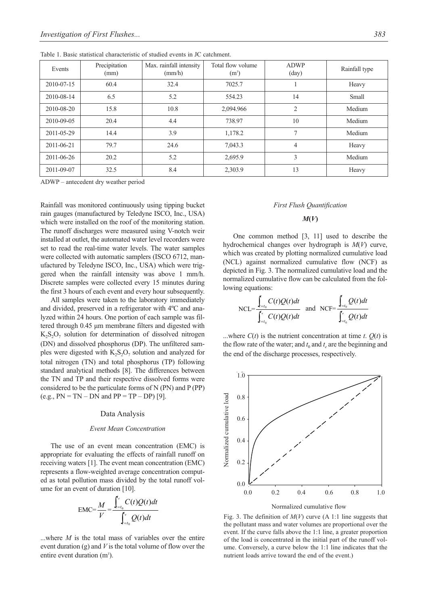| Events     | Precipitation<br>(mm) | Max. rainfall intensity<br>(mm/h) | Total flow volume<br>$(m^3)$ | <b>ADWP</b><br>$\text{(day)}$ | Rainfall type |
|------------|-----------------------|-----------------------------------|------------------------------|-------------------------------|---------------|
| 2010-07-15 | 60.4                  | 32.4                              | 7025.7                       |                               | Heavy         |
| 2010-08-14 | 6.5                   | 5.2                               | 554.23                       | 14                            | Small         |
| 2010-08-20 | 15.8                  | 10.8                              | 2,094.966                    | $\overline{2}$                | Medium        |
| 2010-09-05 | 20.4                  | 4.4                               | 738.97                       | 10                            | Medium        |
| 2011-05-29 | 14.4                  | 3.9                               | 1,178.2                      | 7                             | Medium        |
| 2011-06-21 | 79.7                  | 24.6                              | 7,043.3                      | 4                             | Heavy         |
| 2011-06-26 | 20.2                  | 5.2                               | 2,695.9                      | 3                             | Medium        |
| 2011-09-07 | 32.5                  | 8.4                               | 2,303.9                      | 13                            | Heavy         |

Table 1. Basic statistical characteristic of studied events in JC catchment.

ADWP – antecedent dry weather period

Rainfall was monitored continuously using tipping bucket rain gauges (manufactured by Teledyne ISCO, Inc., USA) which were installed on the roof of the monitoring station. The runoff discharges were measured using V-notch weir installed at outlet, the automated water level recorders were set to read the real-time water levels. The water samples were collected with automatic samplers (ISCO 6712, manufactured by Teledyne ISCO, Inc., USA) which were triggered when the rainfall intensity was above 1 mm/h. Discrete samples were collected every 15 minutes during the first 3 hours of each event and every hour subsequently.

All samples were taken to the laboratory immediately and divided, preserved in a refrigerator with 4ºC and analyzed within 24 hours. One portion of each sample was filtered through 0.45 μm membrane filters and digested with  $K_2S_2O_7$  solution for determination of dissolved nitrogen (DN) and dissolved phosphorus (DP). The unfiltered samples were digested with  $K_2S_2O_7$  solution and analyzed for total nitrogen (TN) and total phosphorus (TP) following standard analytical methods [8]. The differences between the TN and TP and their respective dissolved forms were considered to be the particulate forms of N (PN) and P (PP) (e.g.,  $PN = TN - DN$  and  $PP = TP - DP$ ) [9].

#### Data Analysis

#### *Event Mean Concentration*

The use of an event mean concentration (EMC) is appropriate for evaluating the effects of rainfall runoff on receiving waters [1]. The event mean concentration (EMC) represents a flow-weighted average concentration computed as total pollution mass divided by the total runoff volume for an event of duration [10].

$$
EMC = \frac{M}{V} = \frac{\int_{t_0}^{t} C(t)Q(t)dt}{\int_{t_0}^{t} Q(t)dt}
$$

...where *M* is the total mass of variables over the entire event duration (g) and *V* is the total volume of flow over the entire event duration  $(m<sup>3</sup>)$ .

#### *First Flush Quantification*

# *M***(***V***)**

One common method [3, 11] used to describe the hydrochemical changes over hydrograph is *M*(*V*) curve, which was created by plotting normalized cumulative load (NCL) against normalized cumulative flow (NCF) as depicted in Fig. 3. The normalized cumulative load and the normalized cumulative flow can be calculated from the following equations:

$$
\text{NCL}=\frac{\int_{=t_0}^{t} C(t)Q(t)dt}{\int_{=t_0}^{t} C(t)Q(t)dt} \text{ and } \text{NCF}=\frac{\int_{=t_0}^{t} Q(t)dt}{\int_{=t_0}^{t} Q(t)dt}
$$

...where  $C(t)$  is the nutrient concentration at time *t*.  $O(t)$  is the flow rate of the water; and  $t_0$  and  $t_e$  are the beginning and the end of the discharge processes, respectively.



Fig. 3. The definition of *M*(*V*) curve (A 1:1 line suggests that the pollutant mass and water volumes are proportional over the event. If the curve falls above the 1:1 line, a greater proportion of the load is concentrated in the initial part of the runoff volume. Conversely, a curve below the 1:1 line indicates that the nutrient loads arrive toward the end of the event.)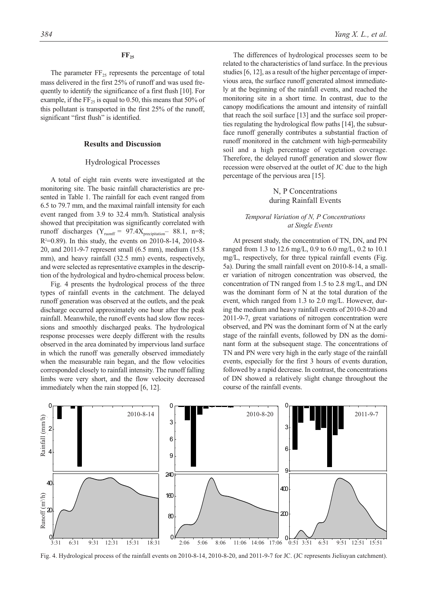# $FF_{25}$

The parameter  $FF_{25}$  represents the percentage of total mass delivered in the first 25% of runoff and was used frequently to identify the significance of a first flush [10]. For example, if the  $FF<sub>25</sub>$  is equal to 0.50, this means that 50% of this pollutant is transported in the first 25% of the runoff, significant "first flush" is identified.

#### **Results and Discussion**

#### Hydrological Processes

A total of eight rain events were investigated at the monitoring site. The basic rainfall characteristics are presented in Table 1. The rainfall for each event ranged from 6.5 to 79.7 mm, and the maximal rainfall intensity for each event ranged from 3.9 to 32.4 mm/h. Statistical analysis showed that precipitation was significantly correlated with runoff discharges ( $Y_{\text{ruooff}} = 97.4X_{\text{preipitation}} - 88.1$ , n=8; R2 =0.89). In this study, the events on 2010-8-14, 2010-8- 20, and 2011-9-7 represent small (6.5 mm), medium (15.8 mm), and heavy rainfall (32.5 mm) events, respectively, and were selected as representative examples in the description of the hydrological and hydro-chemical process below.

Fig. 4 presents the hydrological process of the three types of rainfall events in the catchment. The delayed runoff generation was observed at the outlets, and the peak discharge occurred approximately one hour after the peak rainfall. Meanwhile, the runoff events had slow flow recessions and smoothly discharged peaks. The hydrological response processes were deeply different with the results observed in the area dominated by impervious land surface in which the runoff was generally observed immediately when the measurable rain began, and the flow velocities corresponded closely to rainfall intensity. The runoff falling limbs were very short, and the flow velocity decreased immediately when the rain stopped [6, 12].

The differences of hydrological processes seem to be related to the characteristics of land surface. In the previous studies [6, 12], as a result of the higher percentage of impervious area, the surface runoff generated almost immediately at the beginning of the rainfall events, and reached the monitoring site in a short time. In contrast, due to the canopy modifications the amount and intensity of rainfall that reach the soil surface [13] and the surface soil properties regulating the hydrological flow paths [14], the subsurface runoff generally contributes a substantial fraction of runoff monitored in the catchment with high-permeability soil and a high percentage of vegetation coverage. Therefore, the delayed runoff generation and slower flow recession were observed at the outlet of JC due to the high percentage of the pervious area [15].

# N, P Concentrations during Rainfall Events

## *Temporal Variation of N, P Concentrations at Single Events*

At present study, the concentration of TN, DN, and PN ranged from 1.3 to 12.6 mg/L, 0.9 to 6.0 mg/L, 0.2 to 10.1 mg/L, respectively, for three typical rainfall events (Fig. 5a). During the small rainfall event on 2010-8-14, a smaller variation of nitrogen concentration was observed, the concentration of TN ranged from 1.5 to 2.8 mg/L, and DN was the dominant form of N at the total duration of the event, which ranged from 1.3 to 2.0 mg/L. However, during the medium and heavy rainfall events of 2010-8-20 and 2011-9-7, great variations of nitrogen concentration were observed, and PN was the dominant form of N at the early stage of the rainfall events, followed by DN as the dominant form at the subsequent stage. The concentrations of TN and PN were very high in the early stage of the rainfall events, especially for the first 3 hours of events duration, followed by a rapid decrease. In contrast, the concentrations of DN showed a relatively slight change throughout the course of the rainfall events.

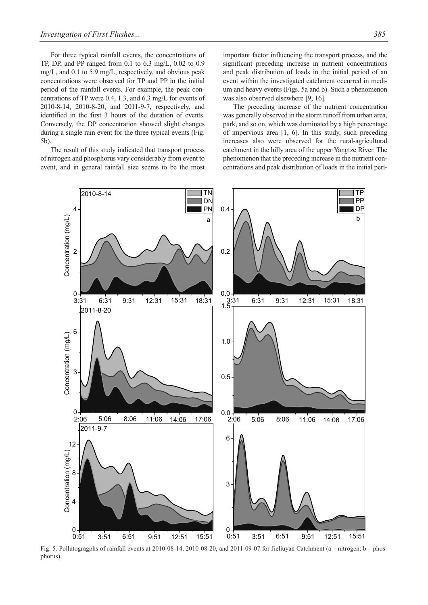For three typical rainfall events, the concentrations of TP, DP, and PP ranged from 0.1 to 6.3 mg/L, 0.02 to 0.9 mg/L, and 0.1 to 5.9 mg/L, respectively, and obvious peak concentrations were observed for TP and PP in the initial period of the rainfall events. For example, the peak concentrations of TP were 0.4, 1.3, and 6.3 mg/L for events of 2010-8-14, 2010-8-20, and 2011-9-7, respectively, and identified in the first 3 hours of the duration of events. Conversely, the DP concentration showed slight changes during a single rain event for the three typical events (Fig. 5b).

The result of this study indicated that transport process of nitrogen and phosphorus vary considerably from event to event, and in general rainfall size seems to be the most important factor influencing the transport process, and the significant preceding increase in nutrient concentrations and peak distribution of loads in the initial period of an event within the investigated catchment occurred in medium and heavy events (Figs. 5a and b). Such a phenomenon was also observed elsewhere [9, 16].

The preceding increase of the nutrient concentration was generally observed in the storm runoff from urban area, park, and so on, which was dominated by a high percentage of impervious area [1, 6]. In this study, such preceding increases also were observed for the rural-agricultural catchment in the hilly area of the upper Yangtze River. The phenomenon that the preceding increase in the nutrient concentrations and peak distribution of loads in the initial peri-



Fig. 5. Pollutogragphs of rainfall events at  $2010-08-14$ ,  $2010-08-20$ , and  $2011-09-07$  for Jieliuvan Catchment (a – nitrogen; b – phosphorus).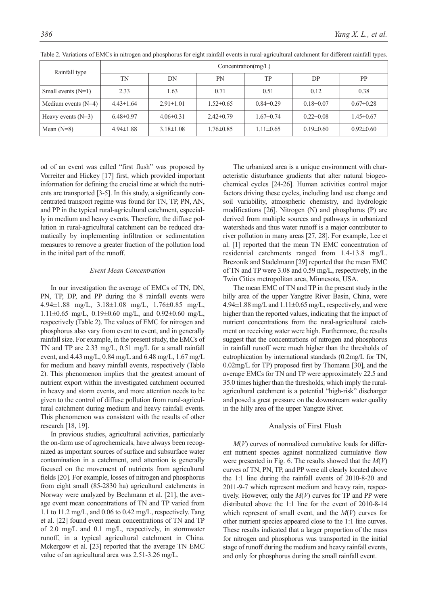| Rainfall type         | Concentration(mg/L) |                 |                 |                 |                 |                 |  |  |
|-----------------------|---------------------|-----------------|-----------------|-----------------|-----------------|-----------------|--|--|
|                       | TN                  | DN              | PN              | TP              | DP              | PP              |  |  |
| Small events $(N=1)$  | 2.33                | 1.63            | 0.71            | 0.51            | 0.12            | 0.38            |  |  |
| Medium events $(N=4)$ | $4.43 \pm 1.64$     | $2.91 \pm 1.01$ | $1.52 \pm 0.65$ | $0.84 \pm 0.29$ | $0.18 \pm 0.07$ | $0.67 \pm 0.28$ |  |  |
| Heavy events $(N=3)$  | $6.48 \pm 0.97$     | $4.06 \pm 0.31$ | $2.42\pm0.79$   | $1.67 \pm 0.74$ | $0.22 \pm 0.08$ | $1.45 \pm 0.67$ |  |  |
| Mean $(N=8)$          | $4.94 \pm 1.88$     | $3.18 \pm 1.08$ | $1.76 \pm 0.85$ | $1.11\pm0.65$   | $0.19\pm0.60$   | $0.92 \pm 0.60$ |  |  |

Table 2. Variations of EMCs in nitrogen and phosphorus for eight rainfall events in rural-agricultural catchment for different rainfall types.

od of an event was called "first flush" was proposed by Vorreiter and Hickey [17] first, which provided important information for defining the crucial time at which the nutrients are transported [3-5]. In this study, a significantly concentrated transport regime was found for TN, TP, PN, AN, and PP in the typical rural-agricultural catchment, especially in medium and heavy events. Therefore, the diffuse pollution in rural-agricultural catchment can be reduced dramatically by implementing infiltration or sedimentation measures to remove a greater fraction of the pollution load in the initial part of the runoff.

## *Event Mean Concentration*

In our investigation the average of EMCs of TN, DN, PN, TP, DP, and PP during the 8 rainfall events were 4.94±1.88 mg/L, 3.18±1.08 mg/L, 1.76±0.85 mg/L,  $1.11\pm0.65$  mg/L,  $0.19\pm0.60$  mg/L, and  $0.92\pm0.60$  mg/L, respectively (Table 2). The values of EMC for nitrogen and phosphorus also vary from event to event, and in generally rainfall size. For example, in the present study, the EMCs of TN and TP are 2.33 mg/L, 0.51 mg/L for a small rainfall event, and 4.43 mg/L, 0.84 mg/L and 6.48 mg/L, 1.67 mg/L for medium and heavy rainfall events, respectively (Table 2). This phenomenon implies that the greatest amount of nutrient export within the investigated catchment occurred in heavy and storm events, and more attention needs to be given to the control of diffuse pollution from rural-agricultural catchment during medium and heavy rainfall events. This phenomenon was consistent with the results of other research [18, 19].

In previous studies, agricultural activities, particularly the on-farm use of agrochemicals, have always been recognized as important sources of surface and subsurface water contamination in a catchment, and attention is generally focused on the movement of nutrients from agricultural fields [20]. For example, losses of nitrogen and phosphorus from eight small (85-2830 ha) agricultural catchments in Norway were analyzed by Bechmann et al. [21], the average event mean concentrations of TN and TP varied from 1.1 to 11.2 mg/L, and 0.06 to 0.42 mg/L, respectively. Tang et al. [22] found event mean concentrations of TN and TP of 2.0 mg/L and 0.1 mg/L, respectively, in stormwater runoff, in a typical agricultural catchment in China. Mckergow et al. [23] reported that the average TN EMC value of an agricultural area was 2.51-3.26 mg/L.

The urbanized area is a unique environment with characteristic disturbance gradients that alter natural biogeochemical cycles [24-26]. Human activities control major factors driving these cycles, including land use change and soil variability, atmospheric chemistry, and hydrologic modifications [26]. Nitrogen (N) and phosphorus (P) are derived from multiple sources and pathways in urbanized watersheds and thus water runoff is a major contributor to river pollution in many areas [27, 28]. For example, Lee et al. [1] reported that the mean TN EMC concentration of residential catchments ranged from 1.4-13.8 mg/L. Brezonik and Stadelmann [29] reported that the mean EMC of TN and TP were 3.08 and 0.59 mg/L, respectively, in the Twin Cities metropolitan area, Minnesota, USA.

The mean EMC of TN and TP in the present study in the hilly area of the upper Yangtze River Basin, China, were  $4.94\pm1.88$  mg/L and  $1.11\pm0.65$  mg/L, respectively, and were higher than the reported values, indicating that the impact of nutrient concentrations from the rural-agricultural catchment on receiving water were high. Furthermore, the results suggest that the concentrations of nitrogen and phosphorus in rainfall runoff were much higher than the thresholds of eutrophication by international standards (0.2mg/L for TN, 0.02mg/L for TP) proposed first by Thomann [30], and the average EMCs for TN and TP were approximately 22.5 and 35.0 times higher than the thresholds, which imply the ruralagricultural catchment is a potential "high-risk" discharger and posed a great pressure on the downstream water quality in the hilly area of the upper Yangtze River.

#### Analysis of First Flush

*M*(*V*) curves of normalized cumulative loads for different nutrient species against normalized cumulative flow were presented in Fig. 6. The results showed that the *M*(*V*) curves of TN, PN, TP, and PP were all clearly located above the 1:1 line during the rainfall events of 2010-8-20 and 2011-9-7 which represent medium and heavy rain, respectively. However, only the *M*(*V*) curves for TP and PP were distributed above the 1:1 line for the event of 2010-8-14 which represent of small event, and the *M*(*V*) curves for other nutrient species appeared close to the 1:1 line curves. These results indicated that a larger proportion of the mass for nitrogen and phosphorus was transported in the initial stage of runoff during the medium and heavy rainfall events, and only for phosphorus during the small rainfall event.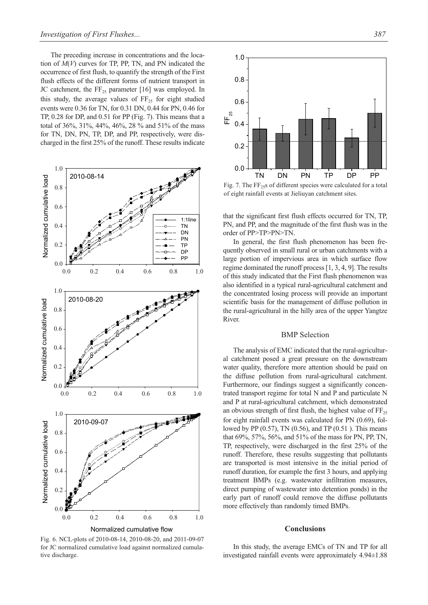The preceding increase in concentrations and the location of *M*(*V*) curves for TP, PP, TN, and PN indicated the occurrence of first flush, to quantify the strength of the First flush effects of the different forms of nutrient transport in JC catchment, the  $FF_{25}$  parameter [16] was employed. In this study, the average values of  $FF<sub>25</sub>$  for eight studied events were 0.36 for TN, for 0.31 DN, 0.44 for PN, 0.46 for TP, 0.28 for DP, and 0.51 for PP (Fig. 7). This means that a total of 36%, 31%, 44%, 46%, 28 % and 51% of the mass for TN, DN, PN, TP, DP, and PP, respectively, were discharged in the first 25% of the runoff. These results indicate



Fig. 6. NCL-plots of 2010-08-14, 2010-08-20, and 2011-09-07 for JC normalized cumulative load against normalized cumulative discharge.



Fig. 7. The  $FF_{25}$ s of different species were calculated for a total of eight rainfall events at Jieliuyan catchment sites.

0.0

TN DN PN TP DP PP

that the significant first flush effects occurred for TN, TP, PN, and PP, and the magnitude of the first flush was in the order of PP>TP>PN>TN.

In general, the first flush phenomenon has been frequently observed in small rural or urban catchments with a large portion of impervious area in which surface flow regime dominated the runoff process [1, 3, 4, 9]. The results of this study indicated that the First flush phenomenon was also identified in a typical rural-agricultural catchment and the concentrated losing process will provide an important scientific basis for the management of diffuse pollution in the rural-agricultural in the hilly area of the upper Yangtze River.

#### BMP Selection

The analysis of EMC indicated that the rural-agricultural catchment posed a great pressure on the downstream water quality, therefore more attention should be paid on the diffuse pollution from rural-agricultural catchment. Furthermore, our findings suggest a significantly concentrated transport regime for total N and P and particulate N and P at rural-agricultural catchment, which demonstrated an obvious strength of first flush, the highest value of  $FF_{25}$ for eight rainfall events was calculated for PN (0.69), followed by PP (0.57), TN (0.56), and TP (0.51 ). This means that 69%, 57%, 56%, and 51% of the mass for PN, PP, TN, TP, respectively, were discharged in the first 25% of the runoff. Therefore, these results suggesting that pollutants are transported is most intensive in the initial period of runoff duration, for example the first 3 hours, and applying treatment BMPs (e.g. wastewater infiltration measures, direct pumping of wastewater into detention ponds) in the early part of runoff could remove the diffuse pollutants more effectively than randomly timed BMPs.

#### **Conclusions**

In this study, the average EMCs of TN and TP for all investigated rainfall events were approximately 4.94±1.88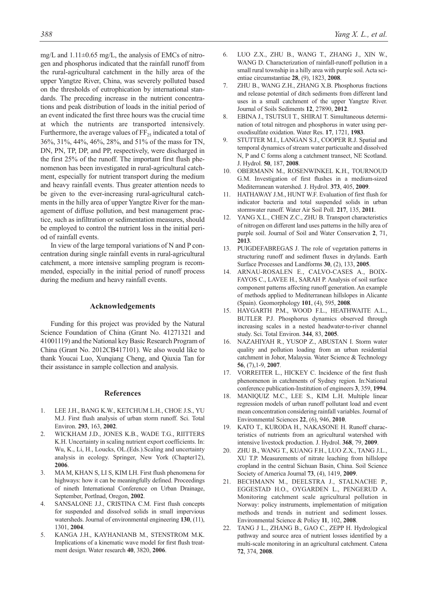mg/L and  $1.11\pm0.65$  mg/L, the analysis of EMCs of nitrogen and phosphorus indicated that the rainfall runoff from the rural-agricultural catchment in the hilly area of the upper Yangtze River, China, was severely polluted based on the thresholds of eutrophication by international standards. The preceding increase in the nutrient concentrations and peak distribution of loads in the initial period of an event indicated the first three hours was the crucial time at which the nutrients are transported intensively. Furthermore, the average values of  $FF_{25}$  indicated a total of 36%, 31%, 44%, 46%, 28%, and 51% of the mass for TN, DN, PN, TP, DP, and PP, respectively, were discharged in the first 25% of the runoff. The important first flush phenomenon has been investigated in rural-agricultural catchment, especially for nutrient transport during the medium and heavy rainfall events. Thus greater attention needs to be given to the ever-increasing rural-agricultural catchments in the hilly area of upper Yangtze River for the management of diffuse pollution, and best management practice, such as infiltration or sedimentation measures, should be employed to control the nutrient loss in the initial period of rainfall events.

In view of the large temporal variations of N and P concentration during single rainfall events in rural-agricultural catchment, a more intensive sampling program is recommended, especially in the initial period of runoff process during the medium and heavy rainfall events.

## **Acknowledgements**

Funding for this project was provided by the Natural Science Foundation of China (Grant No. 41271321 and 41001119) and the National key Basic Research Program of China (Grant No. 2012CB417101). We also would like to thank Youcai Luo, Xunqiang Cheng, and Qiuxia Tan for their assistance in sample collection and analysis.

#### **References**

- 1. LEE J.H., BANG K.W., KETCHUM L.H., CHOE J.S., YU M.J. First flush analysis of urban storm runoff. Sci. Total Environ. **293**, 163, **2002**.
- 2. WICKHAM J.D., JONES K.B., WADE T.G., RIITTERS K.H. Uncertainty in scaling nutrient export coefficients. In: Wu, K., Li, H., Loucks, OL.(Eds.).Scaling and uncertainty analysis in ecology. Springer, New York (Chapter12), **2006**.
- 3. MA M, KHAN S, LI S, KIM LH. First flush phenomena for highways: how it can be meaningfully defined. Proceedings of nineth International Conference on Urban Drainage, September, Portlnad, Oregon, **2002**.
- 4. SANSALONE J.J., CRISTINA C.M. First flush concepts for suspended and dissolved solids in small impervious watersheds. Journal of environmental engineering **130**, (11), 1301, **2004**.
- 5. KANGA J.H., KAYHANIANB M., STENSTROM M.K. Implications of a kinematic wave model for first flush treatment design. Water research **40**, 3820, **2006**.
- 6. LUO Z.X., ZHU B., WANG T., ZHANG J., XIN W., WANG D. Characterization of rainfall-runoff pollution in a small rural township in a hilly area with purple soil. Acta scientiae circumstantiae **28**, (9), 1823, **2008**.
- 7. ZHU B., WANG Z.H., ZHANG X.B. Phosphorus fractions and release potential of ditch sediments from different land uses in a small catchment of the upper Yangtze River. Journal of Soils Sediments **12**, 27890, **2012**.
- 8. EBINA J., TSUTSUI T., SHIRAI T. Simultaneous determination of total nitrogen and phosphorus in water using peroxodisulfate oxidation. Water Res. **17**, 1721, **1983**.
- 9. STUTTER M.I., LANGAN S.J., COOPER R.J. Spatial and temporal dynamics of stream water particualte and dissolved N, P and C forms along a catchment transect, NE Scotland. J. Hydrol. **50**, 187, **2008**.
- 10. OBERMANN M., ROSENWINKEL K.H., TOURNOUD G.M. Investigation of first flushes in a medium-sized Mediterranean watershed. J. Hydrol. **373**, 405, **2009**.
- 11. HATHAWAY J.M., HUNT W.F. Evaluation of first flush for indicator bacteria and total suspended solids in urban stormwater runoff. Water Air Soil Poll. **217**, 135, **2011**.
- 12. YANG X.L., CHEN Z.C., ZHU B. Transport characteristics of nitrogen on different land uses patterns in the hilly area of purple soil. Journal of Soil and Water Conservation **2**, 71, **2013**.
- 13. PUIGDEFABREGAS J. The role of vegetation patterns in structuring runoff and sediment fluxes in drylands. Earth Surface Processes and Landforms **30**, (2), 133, **2005**.
- 14. ARNAU-ROSALEN E., CALVO-CASES A., BOIX-FAYOS C., LAVEE H., SARAH P. Analysis of soil surface component patterns affecting runoff generation. An example of methods applied to Mediterranean hillslopes in Alicante (Spain). Geomorphology **101**, (4), 595, **2008**.
- 15. HAYGARTH P.M., WOOD F.L., HEATHWAITE A.L., BUTLER P.J. Phosphorus dynamics observed through increasing scales in a nested headwater-to-river channel study. Sci. Total Environ. **344**, 83, **2005**.
- 16. NAZAHIYAH R., YUSOP Z., ABUSTAN I. Storm water quality and pollution loading from an urban residential catchment in Johor, Malaysia. Water Science & Technology **56**, (7),1-9, **2007**.
- 17. VORREITER L., HICKEY C. Incidence of the first flush phenomenon in catchments of Sydney region. In:National conference publication-Institution of engineers **3**, 359, **1994**.
- 18. MANIQUIZ M.C., LEE S., KIM L.H. Multiple linear regression models of urban runoff pollutant load and event mean concentration considering rainfall variables. Journal of Environmental Sciences **22**, (6), 946, **2010**.
- 19. KATO T., KURODA H., NAKASONE H. Runoff characteristics of nutrients from an agricultural watershed with intensive livestock production. J. Hydrol. **368**, 79, **2009**.
- 20. ZHU B., WANG T., KUANG F.H., LUO Z.X., TANG J.L., XU T.P. Measurements of nitrate leaching from hillslope cropland in the central Sichuan Basin, China. Soil Science Society of America Journal **73**, (4), 1419, **2009**.
- 21. BECHMANN M., DEELSTRA J., STALNACHE P., EGGESTAD H.O., OYGARDEN L., PENGERUD A. Monitoring catchment scale agricultural pollution in Norway: policy instruments, implementation of mitigation methods and trends in nutrient and sediment losses. Environmental Science & Policy **11**, 102, **2008**.
- TANG J L., ZHANG B., GAO C., ZEPP H. Hydrological pathway and source area of nutrient losses identified by a multi-scale monitoring in an agricultural catchment. Catena **72**, 374, **2008**.